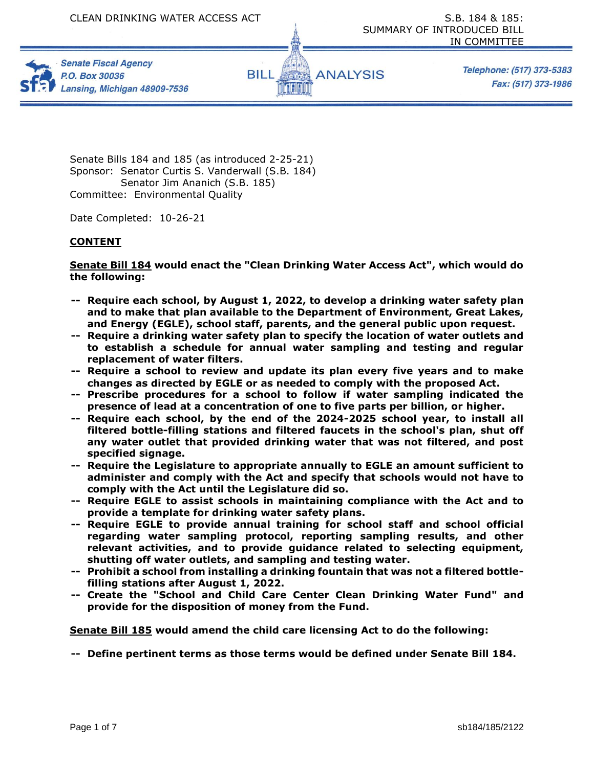





Telephone: (517) 373-5383 Fax: (517) 373-1986

Senate Bills 184 and 185 (as introduced 2-25-21) Sponsor: Senator Curtis S. Vanderwall (S.B. 184) Senator Jim Ananich (S.B. 185) Committee: Environmental Quality

Date Completed: 10-26-21

## **CONTENT**

**Senate Bill 184 would enact the "Clean Drinking Water Access Act", which would do the following:** 

- **-- Require each school, by August 1, 2022, to develop a drinking water safety plan and to make that plan available to the Department of Environment, Great Lakes, and Energy (EGLE), school staff, parents, and the general public upon request.**
- **-- Require a drinking water safety plan to specify the location of water outlets and to establish a schedule for annual water sampling and testing and regular replacement of water filters.**
- **-- Require a school to review and update its plan every five years and to make changes as directed by EGLE or as needed to comply with the proposed Act.**
- **-- Prescribe procedures for a school to follow if water sampling indicated the presence of lead at a concentration of one to five parts per billion, or higher.**
- **-- Require each school, by the end of the 2024-2025 school year, to install all filtered bottle-filling stations and filtered faucets in the school's plan, shut off any water outlet that provided drinking water that was not filtered, and post specified signage.**
- **-- Require the Legislature to appropriate annually to EGLE an amount sufficient to administer and comply with the Act and specify that schools would not have to comply with the Act until the Legislature did so.**
- **-- Require EGLE to assist schools in maintaining compliance with the Act and to provide a template for drinking water safety plans.**
- **-- Require EGLE to provide annual training for school staff and school official regarding water sampling protocol, reporting sampling results, and other relevant activities, and to provide guidance related to selecting equipment, shutting off water outlets, and sampling and testing water.**
- **-- Prohibit a school from installing a drinking fountain that was not a filtered bottlefilling stations after August 1, 2022.**
- **-- Create the "School and Child Care Center Clean Drinking Water Fund" and provide for the disposition of money from the Fund.**

**Senate Bill 185 would amend the child care licensing Act to do the following:** 

**-- Define pertinent terms as those terms would be defined under Senate Bill 184.**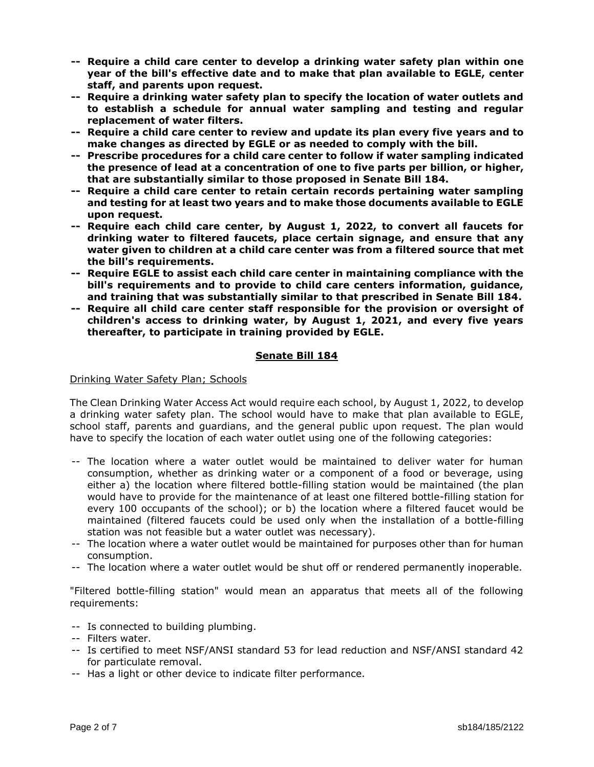- **-- Require a child care center to develop a drinking water safety plan within one year of the bill's effective date and to make that plan available to EGLE, center staff, and parents upon request.**
- **-- Require a drinking water safety plan to specify the location of water outlets and to establish a schedule for annual water sampling and testing and regular replacement of water filters.**
- **-- Require a child care center to review and update its plan every five years and to make changes as directed by EGLE or as needed to comply with the bill.**
- **-- Prescribe procedures for a child care center to follow if water sampling indicated the presence of lead at a concentration of one to five parts per billion, or higher, that are substantially similar to those proposed in Senate Bill 184.**
- **-- Require a child care center to retain certain records pertaining water sampling and testing for at least two years and to make those documents available to EGLE upon request.**
- **-- Require each child care center, by August 1, 2022, to convert all faucets for drinking water to filtered faucets, place certain signage, and ensure that any water given to children at a child care center was from a filtered source that met the bill's requirements.**
- **-- Require EGLE to assist each child care center in maintaining compliance with the bill's requirements and to provide to child care centers information, guidance, and training that was substantially similar to that prescribed in Senate Bill 184.**
- **-- Require all child care center staff responsible for the provision or oversight of children's access to drinking water, by August 1, 2021, and every five years thereafter, to participate in training provided by EGLE.**

# **Senate Bill 184**

# Drinking Water Safety Plan; Schools

The Clean Drinking Water Access Act would require each school, by August 1, 2022, to develop a drinking water safety plan. The school would have to make that plan available to EGLE, school staff, parents and guardians, and the general public upon request. The plan would have to specify the location of each water outlet using one of the following categories:

- -- The location where a water outlet would be maintained to deliver water for human consumption, whether as drinking water or a component of a food or beverage, using either a) the location where filtered bottle-filling station would be maintained (the plan would have to provide for the maintenance of at least one filtered bottle-filling station for every 100 occupants of the school); or b) the location where a filtered faucet would be maintained (filtered faucets could be used only when the installation of a bottle-filling station was not feasible but a water outlet was necessary).
- -- The location where a water outlet would be maintained for purposes other than for human consumption.
- -- The location where a water outlet would be shut off or rendered permanently inoperable.

"Filtered bottle-filling station" would mean an apparatus that meets all of the following requirements:

- -- Is connected to building plumbing.
- -- Filters water.
- -- Is certified to meet NSF/ANSI standard 53 for lead reduction and NSF/ANSI standard 42 for particulate removal.
- -- Has a light or other device to indicate filter performance.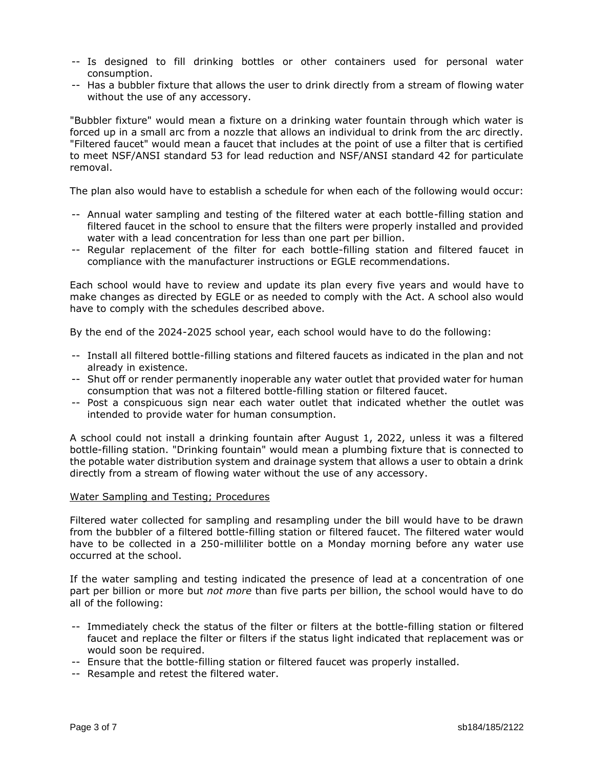- -- Is designed to fill drinking bottles or other containers used for personal water consumption.
- -- Has a bubbler fixture that allows the user to drink directly from a stream of flowing water without the use of any accessory.

"Bubbler fixture" would mean a fixture on a drinking water fountain through which water is forced up in a small arc from a nozzle that allows an individual to drink from the arc directly. "Filtered faucet" would mean a faucet that includes at the point of use a filter that is certified to meet NSF/ANSI standard 53 for lead reduction and NSF/ANSI standard 42 for particulate removal.

The plan also would have to establish a schedule for when each of the following would occur:

- -- Annual water sampling and testing of the filtered water at each bottle-filling station and filtered faucet in the school to ensure that the filters were properly installed and provided water with a lead concentration for less than one part per billion.
- -- Regular replacement of the filter for each bottle-filling station and filtered faucet in compliance with the manufacturer instructions or EGLE recommendations.

Each school would have to review and update its plan every five years and would have to make changes as directed by EGLE or as needed to comply with the Act. A school also would have to comply with the schedules described above.

By the end of the 2024-2025 school year, each school would have to do the following:

- -- Install all filtered bottle-filling stations and filtered faucets as indicated in the plan and not already in existence.
- -- Shut off or render permanently inoperable any water outlet that provided water for human consumption that was not a filtered bottle-filling station or filtered faucet.
- -- Post a conspicuous sign near each water outlet that indicated whether the outlet was intended to provide water for human consumption.

A school could not install a drinking fountain after August 1, 2022, unless it was a filtered bottle-filling station. "Drinking fountain" would mean a plumbing fixture that is connected to the potable water distribution system and drainage system that allows a user to obtain a drink directly from a stream of flowing water without the use of any accessory.

### Water Sampling and Testing; Procedures

Filtered water collected for sampling and resampling under the bill would have to be drawn from the bubbler of a filtered bottle-filling station or filtered faucet. The filtered water would have to be collected in a 250-milliliter bottle on a Monday morning before any water use occurred at the school.

If the water sampling and testing indicated the presence of lead at a concentration of one part per billion or more but *not more* than five parts per billion, the school would have to do all of the following:

- -- Immediately check the status of the filter or filters at the bottle-filling station or filtered faucet and replace the filter or filters if the status light indicated that replacement was or would soon be required.
- -- Ensure that the bottle-filling station or filtered faucet was properly installed.
- -- Resample and retest the filtered water.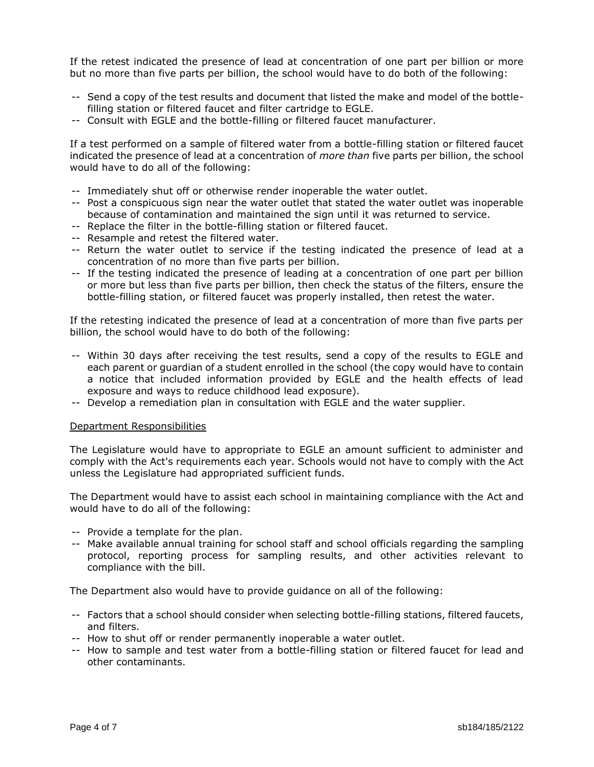If the retest indicated the presence of lead at concentration of one part per billion or more but no more than five parts per billion, the school would have to do both of the following:

- -- Send a copy of the test results and document that listed the make and model of the bottlefilling station or filtered faucet and filter cartridge to EGLE.
- -- Consult with EGLE and the bottle-filling or filtered faucet manufacturer.

If a test performed on a sample of filtered water from a bottle-filling station or filtered faucet indicated the presence of lead at a concentration of *more than* five parts per billion, the school would have to do all of the following:

- -- Immediately shut off or otherwise render inoperable the water outlet.
- -- Post a conspicuous sign near the water outlet that stated the water outlet was inoperable because of contamination and maintained the sign until it was returned to service.
- -- Replace the filter in the bottle-filling station or filtered faucet.
- -- Resample and retest the filtered water.
- -- Return the water outlet to service if the testing indicated the presence of lead at a concentration of no more than five parts per billion.
- -- If the testing indicated the presence of leading at a concentration of one part per billion or more but less than five parts per billion, then check the status of the filters, ensure the bottle-filling station, or filtered faucet was properly installed, then retest the water.

If the retesting indicated the presence of lead at a concentration of more than five parts per billion, the school would have to do both of the following:

- -- Within 30 days after receiving the test results, send a copy of the results to EGLE and each parent or guardian of a student enrolled in the school (the copy would have to contain a notice that included information provided by EGLE and the health effects of lead exposure and ways to reduce childhood lead exposure).
- -- Develop a remediation plan in consultation with EGLE and the water supplier.

### Department Responsibilities

The Legislature would have to appropriate to EGLE an amount sufficient to administer and comply with the Act's requirements each year. Schools would not have to comply with the Act unless the Legislature had appropriated sufficient funds.

The Department would have to assist each school in maintaining compliance with the Act and would have to do all of the following:

- -- Provide a template for the plan.
- -- Make available annual training for school staff and school officials regarding the sampling protocol, reporting process for sampling results, and other activities relevant to compliance with the bill.

The Department also would have to provide guidance on all of the following:

- -- Factors that a school should consider when selecting bottle-filling stations, filtered faucets, and filters.
- -- How to shut off or render permanently inoperable a water outlet.
- -- How to sample and test water from a bottle-filling station or filtered faucet for lead and other contaminants.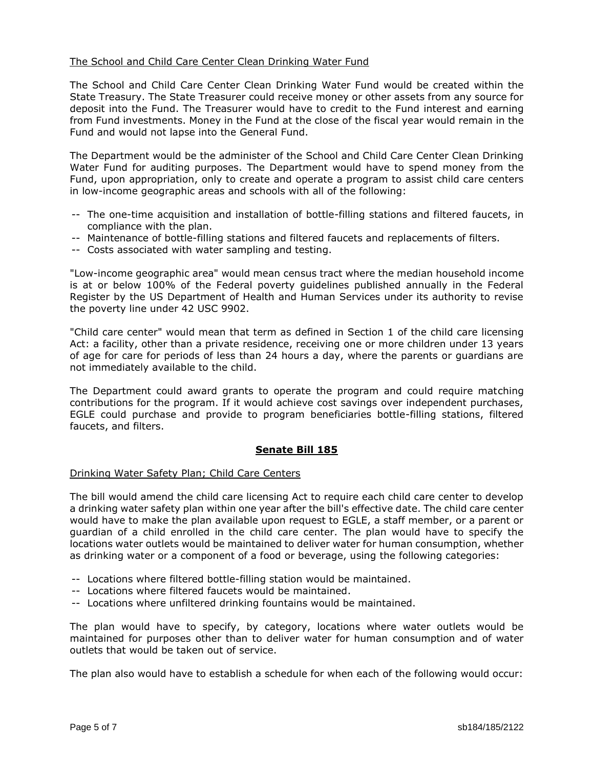## The School and Child Care Center Clean Drinking Water Fund

The School and Child Care Center Clean Drinking Water Fund would be created within the State Treasury. The State Treasurer could receive money or other assets from any source for deposit into the Fund. The Treasurer would have to credit to the Fund interest and earning from Fund investments. Money in the Fund at the close of the fiscal year would remain in the Fund and would not lapse into the General Fund.

The Department would be the administer of the School and Child Care Center Clean Drinking Water Fund for auditing purposes. The Department would have to spend money from the Fund, upon appropriation, only to create and operate a program to assist child care centers in low-income geographic areas and schools with all of the following:

- -- The one-time acquisition and installation of bottle-filling stations and filtered faucets, in compliance with the plan.
- -- Maintenance of bottle-filling stations and filtered faucets and replacements of filters.
- -- Costs associated with water sampling and testing.

"Low-income geographic area" would mean census tract where the median household income is at or below 100% of the Federal poverty guidelines published annually in the Federal Register by the US Department of Health and Human Services under its authority to revise the poverty line under 42 USC 9902.

"Child care center" would mean that term as defined in Section 1 of the child care licensing Act: a facility, other than a private residence, receiving one or more children under 13 years of age for care for periods of less than 24 hours a day, where the parents or guardians are not immediately available to the child.

The Department could award grants to operate the program and could require matching contributions for the program. If it would achieve cost savings over independent purchases, EGLE could purchase and provide to program beneficiaries bottle-filling stations, filtered faucets, and filters.

## **Senate Bill 185**

## Drinking Water Safety Plan; Child Care Centers

The bill would amend the child care licensing Act to require each child care center to develop a drinking water safety plan within one year after the bill's effective date. The child care center would have to make the plan available upon request to EGLE, a staff member, or a parent or guardian of a child enrolled in the child care center. The plan would have to specify the locations water outlets would be maintained to deliver water for human consumption, whether as drinking water or a component of a food or beverage, using the following categories:

- -- Locations where filtered bottle-filling station would be maintained.
- -- Locations where filtered faucets would be maintained.
- -- Locations where unfiltered drinking fountains would be maintained.

The plan would have to specify, by category, locations where water outlets would be maintained for purposes other than to deliver water for human consumption and of water outlets that would be taken out of service.

The plan also would have to establish a schedule for when each of the following would occur: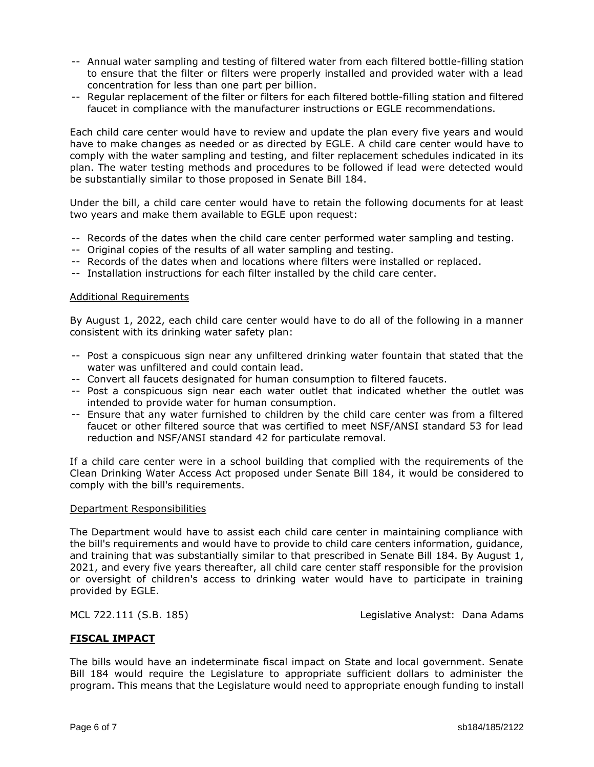- -- Annual water sampling and testing of filtered water from each filtered bottle-filling station to ensure that the filter or filters were properly installed and provided water with a lead concentration for less than one part per billion.
- -- Regular replacement of the filter or filters for each filtered bottle-filling station and filtered faucet in compliance with the manufacturer instructions or EGLE recommendations.

Each child care center would have to review and update the plan every five years and would have to make changes as needed or as directed by EGLE. A child care center would have to comply with the water sampling and testing, and filter replacement schedules indicated in its plan. The water testing methods and procedures to be followed if lead were detected would be substantially similar to those proposed in Senate Bill 184.

Under the bill, a child care center would have to retain the following documents for at least two years and make them available to EGLE upon request:

- -- Records of the dates when the child care center performed water sampling and testing.
- -- Original copies of the results of all water sampling and testing.
- -- Records of the dates when and locations where filters were installed or replaced.
- -- Installation instructions for each filter installed by the child care center.

### Additional Requirements

By August 1, 2022, each child care center would have to do all of the following in a manner consistent with its drinking water safety plan:

- -- Post a conspicuous sign near any unfiltered drinking water fountain that stated that the water was unfiltered and could contain lead.
- -- Convert all faucets designated for human consumption to filtered faucets.
- -- Post a conspicuous sign near each water outlet that indicated whether the outlet was intended to provide water for human consumption.
- -- Ensure that any water furnished to children by the child care center was from a filtered faucet or other filtered source that was certified to meet NSF/ANSI standard 53 for lead reduction and NSF/ANSI standard 42 for particulate removal.

If a child care center were in a school building that complied with the requirements of the Clean Drinking Water Access Act proposed under Senate Bill 184, it would be considered to comply with the bill's requirements.

### Department Responsibilities

The Department would have to assist each child care center in maintaining compliance with the bill's requirements and would have to provide to child care centers information, guidance, and training that was substantially similar to that prescribed in Senate Bill 184. By August 1, 2021, and every five years thereafter, all child care center staff responsible for the provision or oversight of children's access to drinking water would have to participate in training provided by EGLE.

MCL 722.111 (S.B. 185) Legislative Analyst: Dana Adams

### **FISCAL IMPACT**

The bills would have an indeterminate fiscal impact on State and local government. Senate Bill 184 would require the Legislature to appropriate sufficient dollars to administer the program. This means that the Legislature would need to appropriate enough funding to install